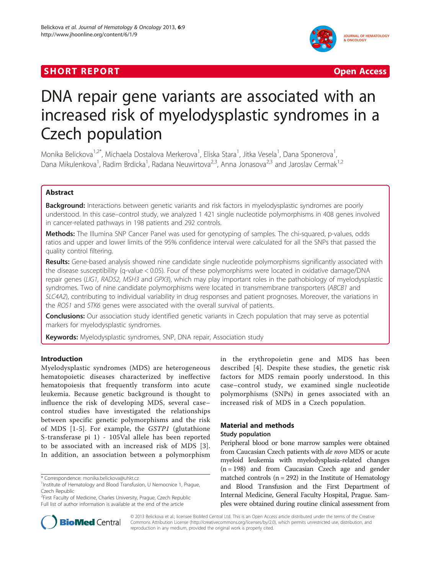## SHORT REPORT AND RESERVE THE SHORT CONTROL CONTROL CONTROL CONTROL CONTROL CONTROL CONTROL CONTROL CONTROL CONTROL CONTROL CONTROL CONTROL CONTROL CONTROL CONTROL CONTROL CONTROL CONTROL CONTROL CONTROL CONTROL CONTROL CON



# DNA repair gene variants are associated with an increased risk of myelodysplastic syndromes in a Czech population

Monika Belickova<sup>1,2\*</sup>, Michaela Dostalova Merkerova<sup>1</sup>, Eliska Stara<sup>1</sup>, Jitka Vesela<sup>1</sup>, Dana Sponerova<sup>1</sup> , Dana Mikulenkova<sup>1</sup>, Radim Brdicka<sup>1</sup>, Radana Neuwirtova<sup>2,3</sup>, Anna Jonasova<sup>2,3</sup> and Jaroslav Cermak<sup>1,2</sup>

## Abstract

Background: Interactions between genetic variants and risk factors in myelodysplastic syndromes are poorly understood. In this case–control study, we analyzed 1 421 single nucleotide polymorphisms in 408 genes involved in cancer-related pathways in 198 patients and 292 controls.

Methods: The Illumina SNP Cancer Panel was used for genotyping of samples. The chi-squared, p-values, odds ratios and upper and lower limits of the 95% confidence interval were calculated for all the SNPs that passed the quality control filtering.

Results: Gene-based analysis showed nine candidate single nucleotide polymorphisms significantly associated with the disease susceptibility (q-value < 0.05). Four of these polymorphisms were located in oxidative damage/DNA repair genes (LIG1, RAD52, MSH3 and GPX3), which may play important roles in the pathobiology of myelodysplastic syndromes. Two of nine candidate polymorphisms were located in transmembrane transporters (ABCB1 and SLC4A2), contributing to individual variability in drug responses and patient prognoses. Moreover, the variations in the ROS1 and STK6 genes were associated with the overall survival of patients.

**Conclusions:** Our association study identified genetic variants in Czech population that may serve as potential markers for myelodysplastic syndromes.

**Keywords:** Myelodysplastic syndromes, SNP, DNA repair, Association study

## Introduction

Myelodysplastic syndromes (MDS) are heterogeneous hematopoietic diseases characterized by ineffective hematopoiesis that frequently transform into acute leukemia. Because genetic background is thought to influence the risk of developing MDS, several case– control studies have investigated the relationships between specific genetic polymorphisms and the risk of MDS [[1](#page-5-0)-[5](#page-5-0)]. For example, the GSTP1 (glutathione S-transferase pi 1) - 105Val allele has been reported to be associated with an increased risk of MDS [[3](#page-5-0)]. In addition, an association between a polymorphism



## Material and methods

## Study population

Peripheral blood or bone marrow samples were obtained from Caucasian Czech patients with de novo MDS or acute myeloid leukemia with myelodysplasia-related changes  $(n = 198)$  and from Caucasian Czech age and gender matched controls ( $n = 292$ ) in the Institute of Hematology and Blood Transfusion and the First Department of Internal Medicine, General Faculty Hospital, Prague. Samples were obtained during routine clinical assessment from



© 2013 Belickova et al.; licensee BioMed Central Ltd. This is an Open Access article distributed under the terms of the Creative Commons Attribution License [\(http://creativecommons.org/licenses/by/2.0\)](http://creativecommons.org/licenses/by/2.0), which permits unrestricted use, distribution, and reproduction in any medium, provided the original work is properly cited.

<sup>\*</sup> Correspondence: [monika.belickova@uhkt.cz](mailto:monika.belickova@uhkt.cz) <sup>1</sup>

<sup>&</sup>lt;sup>1</sup>Institute of Hematology and Blood Transfusion, U Nemocnice 1, Prague, Czech Republic

<sup>&</sup>lt;sup>2</sup> First Faculty of Medicine, Charles University, Prague, Czech Republic Full list of author information is available at the end of the article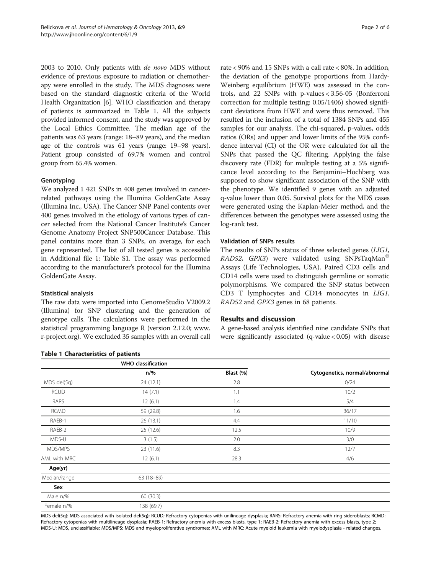2003 to 2010. Only patients with de novo MDS without evidence of previous exposure to radiation or chemotherapy were enrolled in the study. The MDS diagnoses were based on the standard diagnostic criteria of the World Health Organization [[6\]](#page-5-0). WHO classification and therapy of patients is summarized in Table 1. All the subjects provided informed consent, and the study was approved by the Local Ethics Committee. The median age of the patients was 63 years (range: 18–89 years), and the median age of the controls was 61 years (range: 19–98 years). Patient group consisted of 69.7% women and control group from 65.4% women.

#### Genotyping

We analyzed 1 421 SNPs in 408 genes involved in cancerrelated pathways using the Illumina GoldenGate Assay (Illumina Inc., USA). The Cancer SNP Panel contents over 400 genes involved in the etiology of various types of cancer selected from the National Cancer Institute's Cancer Genome Anatomy Project SNP500Cancer Database. This panel contains more than 3 SNPs, on average, for each gene represented. The list of all tested genes is accessible in Additional file [1](#page-5-0): Table S1. The assay was performed according to the manufacturer's protocol for the Illumina GoldenGate Assay.

#### Statistical analysis

The raw data were imported into GenomeStudio V2009.2 (Illumina) for SNP clustering and the generation of genotype calls. The calculations were performed in the statistical programming language R (version 2.12.0; [www.](http://www.r-project.org/) [r-project.org\)](http://www.r-project.org/). We excluded 35 samples with an overall call

#### Table 1 Characteristics of patients

rate < 90% and 15 SNPs with a call rate < 80%. In addition, the deviation of the genotype proportions from Hardy-Weinberg equilibrium (HWE) was assessed in the controls, and 22 SNPs with p-values < 3.56-05 (Bonferroni correction for multiple testing: 0.05/1406) showed significant deviations from HWE and were thus removed. This resulted in the inclusion of a total of 1384 SNPs and 455 samples for our analysis. The chi-squared, p-values, odds ratios (ORs) and upper and lower limits of the 95% confidence interval (CI) of the OR were calculated for all the SNPs that passed the QC filtering. Applying the false discovery rate (FDR) for multiple testing at a 5% significance level according to the Benjamini–Hochberg was supposed to show significant association of the SNP with the phenotype. We identified 9 genes with an adjusted q-value lower than 0.05. Survival plots for the MDS cases were generated using the Kaplan-Meier method, and the differences between the genotypes were assessed using the log-rank test.

## Validation of SNPs results

The results of SNPs status of three selected genes (LIG1, *RAD52, GPX3*) were validated using SNPsTaqMan<sup>®</sup> Assays (Life Technologies, USA). Paired CD3 cells and CD14 cells were used to distinguish germline or somatic polymorphisms. We compared the SNP status between CD3 T lymphocytes and CD14 monocytes in LIG1, RAD52 and GPX3 genes in 68 patients.

## Results and discussion

A gene-based analysis identified nine candidate SNPs that were significantly associated (q-value  $< 0.05$ ) with disease

|              | <b>WHO classification</b> |           |                               |
|--------------|---------------------------|-----------|-------------------------------|
|              | $n/\%$                    | Blast (%) | Cytogenetics, normal/abnormal |
| MDS del(5q)  | 24 (12.1)                 | 2.8       | 0/24                          |
| <b>RCUD</b>  | 14(7.1)                   | 1.1       | 10/2                          |
| RARS         | 12(6.1)                   | 1.4       | 5/4                           |
| <b>RCMD</b>  | 59 (29.8)                 | 1.6       | 36/17                         |
| RAEB-1       | 26(13.1)                  | 4.4       | 11/10                         |
| RAEB-2       | 25(12.6)                  | 12.5      | 10/9                          |
| MDS-U        | 3(1.5)                    | 2.0       | 3/0                           |
| MDS/MPS      | 23(11.6)                  | 8.3       | 12/7                          |
| AML with MRC | 12(6.1)                   | 28.3      | 4/6                           |
| Age(yr)      |                           |           |                               |
| Median/range | $63(18-89)$               |           |                               |
| Sex          |                           |           |                               |
| Male n/%     | 60(30.3)                  |           |                               |
| Female n/%   | 138 (69.7)                |           |                               |

MDS del(5q): MDS associated with isolated del(5q); RCUD: Refractory cytopenias with unilineage dysplasia; RARS: Refractory anemia with ring sideroblasts; RCMD: Refractory cytopenias with multilineage dysplasia; RAEB-1: Refractory anemia with excess blasts, type 1; RAEB-2: Refractory anemia with excess blasts, type 2; MDS-U: MDS, unclassifiable; MDS/MPS: MDS and myeloproliferative syndromes; AML with MRC: Acute myeloid leukemia with myelodysplasia - related changes.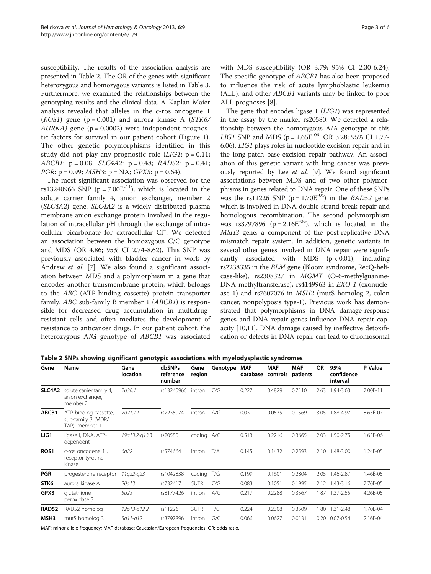susceptibility. The results of the association analysis are presented in Table 2. The OR of the genes with significant heterozygous and homozygous variants is listed in Table [3](#page-3-0). Furthermore, we examined the relationships between the genotyping results and the clinical data. A Kaplan-Maier analysis revealed that alleles in the c-ros oncogene 1  $(ROS1)$  gene  $(p = 0.001)$  and aurora kinase A  $(STK6)$  $AURKA$ ) gene (p = 0.0002) were independent prognostic factors for survival in our patient cohort (Figure [1](#page-4-0)). The other genetic polymorphisms identified in this study did not play any prognostic role  $(LIG1: p = 0.11;$ ABCB1:  $p = 0.08$ ; SLC4A2:  $p = 0.48$ ; RAD52:  $p = 0.41$ ; *PGR*:  $p = 0.99$ ; *MSH3*:  $p = NA$ ; *GPX3*:  $p = 0.64$ ).

The most significant association was observed for the rs13240966 SNP ( $p = 7.00E^{-11}$ ), which is located in the solute carrier family 4, anion exchanger, member 2 (SLC4A2) gene. SLC4A2 is a widely distributed plasma membrane anion exchange protein involved in the regulation of intracellular pH through the exchange of intracellular bicarbonate for extracellular Cl<sup>−</sup> . We detected an association between the homozygous C/C genotype and MDS (OR 4.86; 95% CI 2.74-8.62). This SNP was previously associated with bladder cancer in work by Andrew et al. [[7\]](#page-5-0). We also found a significant association between MDS and a polymorphism in a gene that encodes another transmembrane protein, which belongs to the ABC (ATP-binding cassette) protein transporter family. ABC sub-family B member 1 (ABCB1) is responsible for decreased drug accumulation in multidrugresistant cells and often mediates the development of resistance to anticancer drugs. In our patient cohort, the heterozygous A/G genotype of ABCB1 was associated with MDS susceptibility (OR 3.79; 95% CI 2.30-6.24). The specific genotype of ABCB1 has also been proposed to influence the risk of acute lymphoblastic leukemia (ALL), and other ABCB1 variants may be linked to poor ALL prognoses [[8\]](#page-5-0).

The gene that encodes ligase 1 (LIG1) was represented in the assay by the marker rs20580. We detected a relationship between the homozygous A/A genotype of this LIG1 SNP and MDS ( $p = 1.65E^{-06}$ ; OR 3.28; 95% CI 1.77-6.06). LIG1 plays roles in nucleotide excision repair and in the long-patch base-excision repair pathway. An association of this genetic variant with lung cancer was previously reported by Lee et al. [\[9](#page-5-0)]. We found significant associations between MDS and of two other polymorphisms in genes related to DNA repair. One of these SNPs was the rs11226 SNP ( $p = 1.70E^{-04}$ ) in the *RAD52* gene, which is involved in DNA double-strand break repair and homologous recombination. The second polymorphism was rs3797896 ( $p = 2.16E^{-0.4}$ ), which is located in the MSH3 gene, a component of the post-replicative DNA mismatch repair system. In addition, genetic variants in several other genes involved in DNA repair were significantly associated with MDS  $(p < 0.01)$ , including rs2238335 in the BLM gene (Bloom syndrome, RecQ-helicase-like), rs2308327 in MGMT (O-6-methylguanine-DNA methyltransferase), rs4149963 in EXO 1 (exonuclease 1) and rs7607076 in MSH2 (mutS homolog-2, colon cancer, nonpolyposis type-1). Previous work has demonstrated that polymorphisms in DNA damage-response genes and DNA repair genes influence DNA repair capacity [[10,11\]](#page-5-0). DNA damage caused by ineffective detoxification or defects in DNA repair can lead to chromosomal

| Gene         | Name                                                          | Gene<br>location | dbSNPs<br>reference<br>number | Gene<br>region | Genotype | MAF<br>database | <b>MAF</b><br>controls | <b>MAF</b><br>patients | OR   | 95%<br>confidence<br>interval | P Value  |
|--------------|---------------------------------------------------------------|------------------|-------------------------------|----------------|----------|-----------------|------------------------|------------------------|------|-------------------------------|----------|
| SLC4A2       | solute carrier family 4,<br>anion exchanger,<br>member 2      | 7q36.1           | rs13240966                    | intron         | C/G      | 0.227           | 0.4829                 | 0.7110                 | 2.63 | 1.94-3.63                     | 7.00E-11 |
| ABCB1        | ATP-binding cassette,<br>sub-family B (MDR/<br>TAP), member 1 | 7q21.12          | rs2235074                     | intron         | A/G      | 0.031           | 0.0575                 | 0.1569                 | 3.05 | .88-4.97                      | 8.65E-07 |
| LIG1         | ligase I, DNA, ATP-<br>dependent                              | 19a13.2-a13.3    | rs20580                       | coding A/C     |          | 0.513           | 0.2216                 | 0.3665                 | 2.03 | 1.50-2.75                     | 1.65E-06 |
| <b>ROS1</b>  | c-ros oncogene 1,<br>receptor tyrosine<br>kinase              | 6q22             | rs574664                      | intron         | T/A      | 0.145           | 0.1432                 | 0.2593                 | 2.10 | 1.48-3.00                     | 1.24E-05 |
| <b>PGR</b>   | progesterone receptor                                         | 11g22-g23        | rs1042838                     | coding         | T/G      | 0.199           | 0.1601                 | 0.2804                 | 2.05 | 1.46-2.87                     | 1.46E-05 |
| STK6         | aurora kinase A                                               | 20q13            | rs732417                      | 5UTR           | C/G      | 0.083           | 0.1051                 | 0.1995                 | 2.12 | 1.43-3.16                     | 7.76E-05 |
| GPX3         | glutathione<br>peroxidase 3                                   | 5q23             | rs8177426                     | intron         | A/G      | 0.217           | 0.2288                 | 0.3567                 |      | 1.87 1.37-2.55                | 4.26E-05 |
| <b>RAD52</b> | RAD52 homolog                                                 | 12p13-p12.2      | rs11226                       | 3UTR           | T/C      | 0.224           | 0.2308                 | 0.3509                 | 1.80 | 1.31-2.48                     | 1.70E-04 |
| MSH3         | mutS homolog 3                                                | 5a11-a12         | rs3797896                     | intron         | G/C      | 0.066           | 0.0627                 | 0.0131                 | 0.20 | $0.07 - 0.54$                 | 2.16E-04 |

Table 2 SNPs showing significant genotypic associations with myelodysplastic syndromes

MAF: minor allele frequency; MAF database: Caucasian/European frequencies; OR: odds ratio.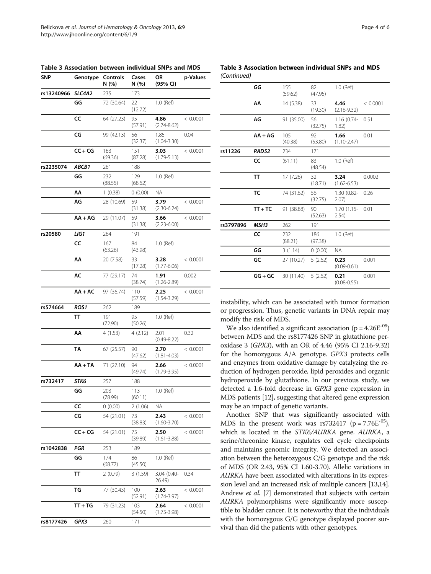| <b>SNP</b> | Genotype  | Controls<br>N (%) | Cases<br>N (%) | OR<br>(95% CI)          | p-Values |
|------------|-----------|-------------------|----------------|-------------------------|----------|
| rs13240966 | SLC4A2    | 235               | 173            |                         |          |
|            | GG        | 72 (30.64)        | 22<br>(12.72)  | 1.0 (Ref)               |          |
|            | cc        | 64 (27.23)        | 95<br>(57.91)  | 4.86<br>$(2.74 - 8.62)$ | < 0.0001 |
|            | CG        | 99 (42.13)        | 56<br>(32.37)  | 1.85<br>$(1.04 - 3.30)$ | 0.04     |
|            | $CC + CG$ | 163<br>(69.36)    | 151<br>(87.28) | 3.03<br>$(1.79 - 5.13)$ | < 0.0001 |
| rs2235074  | ABCB1     | 261               | 188            |                         |          |
|            | GG        | 232<br>(88.55)    | 129<br>(68.62) | 1.0 (Ref)               |          |
|            | АА        | 1(0.38)           | 0(0.00)        | ΝA                      |          |
|            | ΑG        | 28 (10.69)        | 59<br>(31.38)  | 3.79<br>$(2.30 - 6.24)$ | < 0.0001 |
|            | $AA + AG$ | 29 (11.07)        | 59<br>(31.38)  | 3.66<br>$(2.23 - 6.00)$ | < 0.0001 |
| rs20580    | LIG1      | 264               | 191            |                         |          |
|            | CC        | 167<br>(63.26)    | 84<br>(43.98)  | 1.0 (Ref)               |          |
|            | АА        | 20 (7.58)         | 33<br>(17.28)  | 3.28<br>$(1.77 - 6.06)$ | < 0.0001 |
|            | АC        | 77 (29.17)        | 74<br>(38.74)  | 1.91<br>$(1.26 - 2.89)$ | 0.002    |
|            | $AA + AC$ | 97 (36.74)        | 110<br>(57.59) | 2.25<br>$(1.54 - 3.29)$ | < 0.0001 |
| rs574664   | ROS1      | 262               | 189            |                         |          |
|            | тт        | 191<br>(72.90)    | 95<br>(50.26)  | 1.0 (Ref)               |          |
|            | АΑ        | 4(1.53)           | 4(2.12)        | 2.01<br>$(0.49 - 8.22)$ | 0.32     |
|            | TΑ        | 67 (25.57)        | 90<br>(47.62)  | 2.70<br>$(1.81 - 4.03)$ | < 0.0001 |
|            | $AA + TA$ | 71 (27.10)        | 94<br>(49.74)  | 2.66<br>$(1.79 - 3.95)$ | < 0.0001 |
| rs732417   | STK6      | 257               | 188            |                         |          |
|            | GG        | 203<br>(78.99)    | 113<br>(60.11) | 1.0 (Ref)               |          |
|            | cc        | 0(0.00)           | 2(1.06)        | ΝA                      |          |
|            | CG        | 54 (21.01)        | 73<br>(38.83)  | 2.43<br>$(1.60 - 3.70)$ | < 0.0001 |
|            | $CC + CG$ | 54 (21.01)        | 75<br>(39.89)  | 2.50<br>$(1.61 - 3.88)$ | < 0.0001 |
| rs1042838  | PGR       | 253               | 189            |                         |          |
|            | GG        | 174<br>(68.77)    | 86<br>(45.50)  | 1.0 (Ref)               |          |
|            | TΤ        | 2(0.79)           | 3(1.59)        | 3.04 (0.40-<br>26.49)   | 0.34     |
|            | ΤG        | 77 (30.43)        | 100<br>(52.91) | 2.63<br>$(1.74 - 3.97)$ | < 0.0001 |
|            | TT + TG   | 79 (31.23)        | 103<br>(54.50) | 2.64<br>$(1.75 - 3.98)$ | < 0.0001 |
| rs8177426  | GPX3      | 260               | 171            |                         |          |

<span id="page-3-0"></span>Table 3 Association between individual SNPs and MDS

Table 3 Association between individual SNPs and MDS (Continued)

|           | GG               | 155<br>(59.62) | 82<br>(47.95)  | 1.0 (Ref)               |          |
|-----------|------------------|----------------|----------------|-------------------------|----------|
|           | AA               | 14 (5.38)      | 33<br>(19.30)  | 4.46<br>$(2.16 - 9.32)$ | < 0.0001 |
|           | AG               | 91 (35.00)     | 56<br>(32.75)  | $1.16(0.74-$<br>1.82)   | 0.51     |
|           | $AA + AG$        | 105<br>(40.38) | 92<br>(53.80)  | 1.66<br>$(1.10 - 2.47)$ | 0.01     |
| rs11226   | RAD52            | 234            | 171            |                         |          |
|           | cc               | (61.11)        | 83<br>(48.54)  | 1.0 (Ref)               |          |
|           | <b>TT</b>        | 17 (7.26)      | 32<br>(18.71)  | 3.24<br>$(1.62 - 6.53)$ | 0.0002   |
|           | TC               | 74 (31.62)     | 56<br>(32.75)  | 1.30 (0.82-<br>2.07)    | 0.26     |
|           | $TT + TC$        | 91 (38.88)     | 90<br>(52.63)  | 1.70 (1.15-<br>2.54)    | 0.01     |
| rs3797896 | MSH <sub>3</sub> | 262            | 191            |                         |          |
|           | cc               | 232<br>(88.21) | 186<br>(97.38) | 1.0 (Ref)               |          |
|           | GG               | 3(1.14)        | 0(0.00)        | <b>NA</b>               |          |
|           | GC               | 27 (10.27)     | 5(2.62)        | 0.23<br>$(0.09 - 0.61)$ | 0.001    |
|           | $GG + GC$        | 30 (11.40)     | 5(2.62)        | 0.21<br>$(0.08 - 0.55)$ | 0.001    |
|           |                  |                |                |                         |          |

instability, which can be associated with tumor formation or progression. Thus, genetic variants in DNA repair may modify the risk of MDS.

We also identified a significant association ( $p = 4.26E^{-05}$ ) between MDS and the rs8177426 SNP in glutathione peroxidase 3 (GPX3), with an OR of 4.46 (95% CI 2.16-9.32) for the homozygous A/A genotype. GPX3 protects cells and enzymes from oxidative damage by catalyzing the reduction of hydrogen peroxide, lipid peroxides and organic hydroperoxide by glutathione. In our previous study, we detected a 1.6-fold decrease in GPX3 gene expression in MDS patients [\[12](#page-5-0)], suggesting that altered gene expression may be an impact of genetic variants.

Another SNP that was significantly associated with MDS in the present work was  $rs732417$  ( $p = 7.76E^{-05}$ ), which is located in the STK6/AURKA gene. AURKA, a serine/threonine kinase, regulates cell cycle checkpoints and maintains genomic integrity. We detected an association between the heterozygous C/G genotype and the risk of MDS (OR 2.43, 95% CI 1.60-3.70). Allelic variations in AURKA have been associated with alterations in its expression level and an increased risk of multiple cancers [\[13,14](#page-5-0)]. Andrew *et al.* [\[7\]](#page-5-0) demonstrated that subjects with certain AURKA polymorphisms were significantly more susceptible to bladder cancer. It is noteworthy that the individuals with the homozygous G/G genotype displayed poorer survival than did the patients with other genotypes.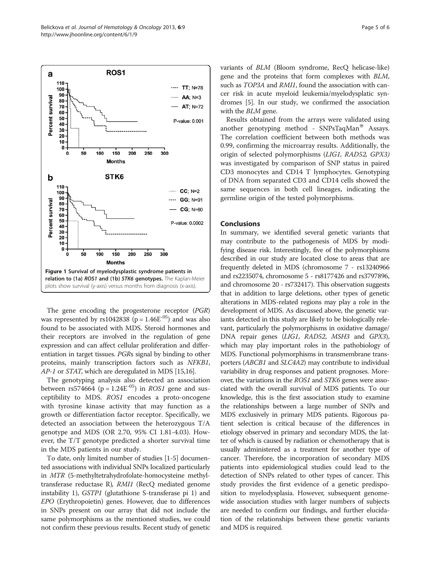<span id="page-4-0"></span>

The gene encoding the progesterone receptor (PGR) was represented by rs1042838 ( $p = 1.46E^{-0.5}$ ) and was also found to be associated with MDS. Steroid hormones and their receptors are involved in the regulation of gene expression and can affect cellular proliferation and differentiation in target tissues. PGRs signal by binding to other proteins, mainly transcription factors such as NFKB1, AP-1 or STAT, which are deregulated in MDS [[15,16](#page-5-0)].

The genotyping analysis also detected an association between rs574664 ( $p = 1.24E^{-0.5}$ ) in *ROS1* gene and susceptibility to MDS. ROS1 encodes a proto-oncogene with tyrosine kinase activity that may function as a growth or differentiation factor receptor. Specifically, we detected an association between the heterozygous T/A genotype and MDS (OR 2.70, 95% CI 1.81-4.03). However, the T/T genotype predicted a shorter survival time in the MDS patients in our study.

To date, only limited number of studies [\[1](#page-5-0)-[5\]](#page-5-0) documented associations with individual SNPs localized particularly in MTR (5-methyltetrahydrofolate-homocysteine methyltransferase reductase R), RMI1 (RecQ mediated genome instability 1), GSTP1 (glutathione S-transferase pi 1) and EPO (Erythropoietin) genes. However, due to differences in SNPs present on our array that did not include the same polymorphisms as the mentioned studies, we could not confirm these previous results. Recent study of genetic variants of BLM (Bloom syndrome, RecQ helicase-like) gene and the proteins that form complexes with BLM, such as TOP3A and RMI1, found the association with cancer risk in acute myeloid leukemia/myelodysplatic syndromes [\[5](#page-5-0)]. In our study, we confirmed the association with the *BLM* gene.

Results obtained from the arrays were validated using another genotyping method -  $SNPsTaqMan^{\otimes}$  Assays. The correlation coefficient between both methods was 0.99, confirming the microarray results. Additionally, the origin of selected polymorphisms (LIG1, RAD52, GPX3) was investigated by comparison of SNP status in paired CD3 monocytes and CD14 T lymphocytes. Genotyping of DNA from separated CD3 and CD14 cells showed the same sequences in both cell lineages, indicating the germline origin of the tested polymorphisms.

#### Conclusions

In summary, we identified several genetic variants that may contribute to the pathogenesis of MDS by modifying disease risk. Interestingly, five of the polymorphisms described in our study are located close to areas that are frequently deleted in MDS (chromosome 7 - rs13240966 and rs2235074, chromosome 5 - rs8177426 and rs3797896, and chromosome 20 - rs732417). This observation suggests that in addition to large deletions, other types of genetic alterations in MDS-related regions may play a role in the development of MDS. As discussed above, the genetic variants detected in this study are likely to be biologically relevant, particularly the polymorphisms in oxidative damage/ DNA repair genes (LIG1, RAD52, MSH3 and GPX3), which may play important roles in the pathobiology of MDS. Functional polymorphisms in transmembrane transporters (ABCB1 and SLC4A2) may contribute to individual variability in drug responses and patient prognoses. Moreover, the variations in the ROS1 and STK6 genes were associated with the overall survival of MDS patients. To our knowledge, this is the first association study to examine the relationships between a large number of SNPs and MDS exclusively in primary MDS patients. Rigorous patient selection is critical because of the differences in etiology observed in primary and secondary MDS, the latter of which is caused by radiation or chemotherapy that is usually administered as a treatment for another type of cancer. Therefore, the incorporation of secondary MDS patients into epidemiological studies could lead to the detection of SNPs related to other types of cancer. This study provides the first evidence of a genetic predisposition to myelodysplasia. However, subsequent genomewide association studies with larger numbers of subjects are needed to confirm our findings, and further elucidation of the relationships between these genetic variants and MDS is required.